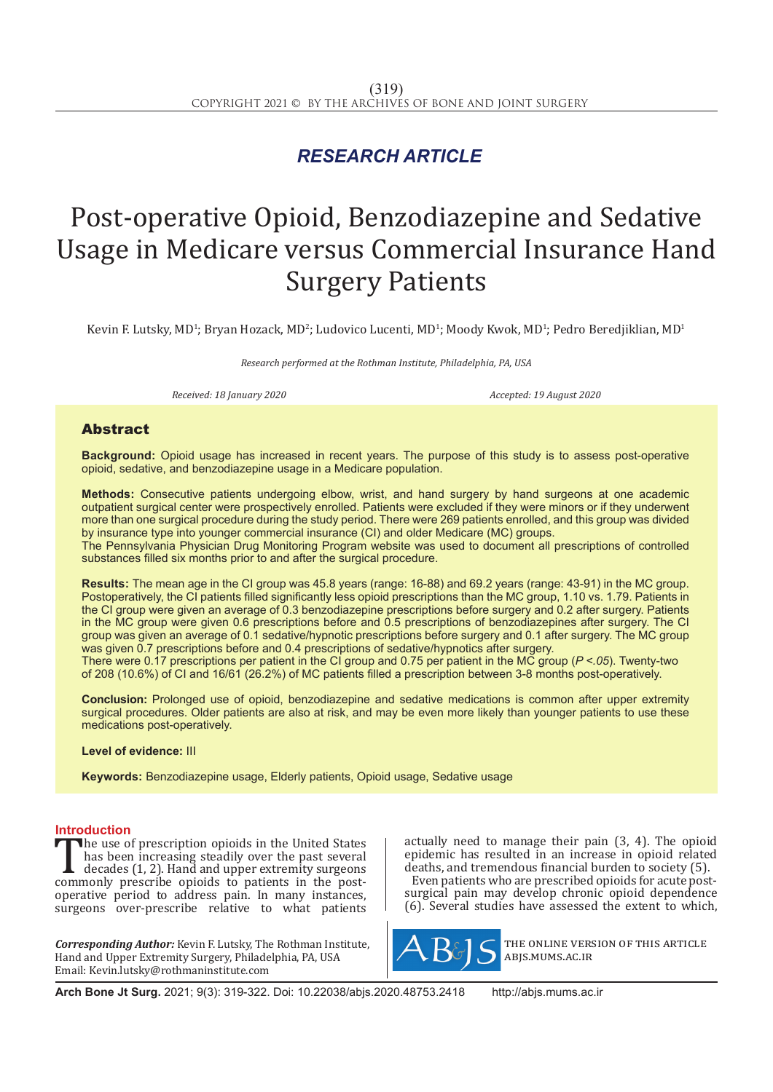## *RESEARCH ARTICLE*

# Post-operative Opioid, Benzodiazepine and Sedative Usage in Medicare versus Commercial Insurance Hand Surgery Patients

Kevin F. Lutsky, MD<sup>1</sup>; Bryan Hozack, MD<sup>2</sup>; Ludovico Lucenti, MD<sup>1</sup>; Moody Kwok, MD<sup>1</sup>; Pedro Beredjiklian, MD<sup>1</sup>

*Research performed at the Rothman Institute, Philadelphia, PA, USA*

*Received: 18 January 2020 Accepted: 19 August 2020*

### Abstract

**Background:** Opioid usage has increased in recent years. The purpose of this study is to assess post-operative opioid, sedative, and benzodiazepine usage in a Medicare population.

**Methods:** Consecutive patients undergoing elbow, wrist, and hand surgery by hand surgeons at one academic outpatient surgical center were prospectively enrolled. Patients were excluded if they were minors or if they underwent more than one surgical procedure during the study period. There were 269 patients enrolled, and this group was divided by insurance type into younger commercial insurance (CI) and older Medicare (MC) groups.

The Pennsylvania Physician Drug Monitoring Program website was used to document all prescriptions of controlled substances filled six months prior to and after the surgical procedure.

**Results:** The mean age in the CI group was 45.8 years (range: 16-88) and 69.2 years (range: 43-91) in the MC group. Postoperatively, the CI patients filled significantly less opioid prescriptions than the MC group, 1.10 vs. 1.79. Patients in the CI group were given an average of 0.3 benzodiazepine prescriptions before surgery and 0.2 after surgery. Patients in the MC group were given 0.6 prescriptions before and 0.5 prescriptions of benzodiazepines after surgery. The CI group was given an average of 0.1 sedative/hypnotic prescriptions before surgery and 0.1 after surgery. The MC group was given 0.7 prescriptions before and 0.4 prescriptions of sedative/hypnotics after surgery. There were 0.17 prescriptions per patient in the CI group and 0.75 per patient in the MC group (*P <.05*). Twenty-two of 208 (10.6%) of CI and 16/61 (26.2%) of MC patients filled a prescription between 3-8 months post-operatively.

**Conclusion:** Prolonged use of opioid, benzodiazepine and sedative medications is common after upper extremity surgical procedures. Older patients are also at risk, and may be even more likely than younger patients to use these medications post-operatively.

**Level of evidence:** III

**Keywords:** Benzodiazepine usage, Elderly patients, Opioid usage, Sedative usage

**Introduction**<br>**The use of prescription opioids in the United States** The use of prescription opioids in the United States<br>
has been increasing steadily over the past several<br>
decades (1, 2). Hand and upper extremity surgeons<br>
commonly prescribe opioids to patients in the post-<br>
operative pe has been increasing steadily over the past several decades (1, 2). Hand and upper extremity surgeons operative period to address pain. In many instances, surgeons over-prescribe relative to what patients

*Corresponding Author:* Kevin F. Lutsky, The Rothman Institute, Hand and Upper Extremity Surgery, Philadelphia, PA, USA Email: Kevin.lutsky@rothmaninstitute.com

actually need to manage their pain (3, 4). The opioid epidemic has resulted in an increase in opioid related deaths, and tremendous financial burden to society (5).

Even patients who are prescribed opioids for acute postsurgical pain may develop chronic opioid dependence (6). Several studies have assessed the extent to which,



the online version of this article abjs.mums.ac.ir

**Arch Bone Jt Surg.** 2021; 9(3): 319-322. Doi: 10.22038/abjs.2020.48753.2418 http://abjs.mums.ac.ir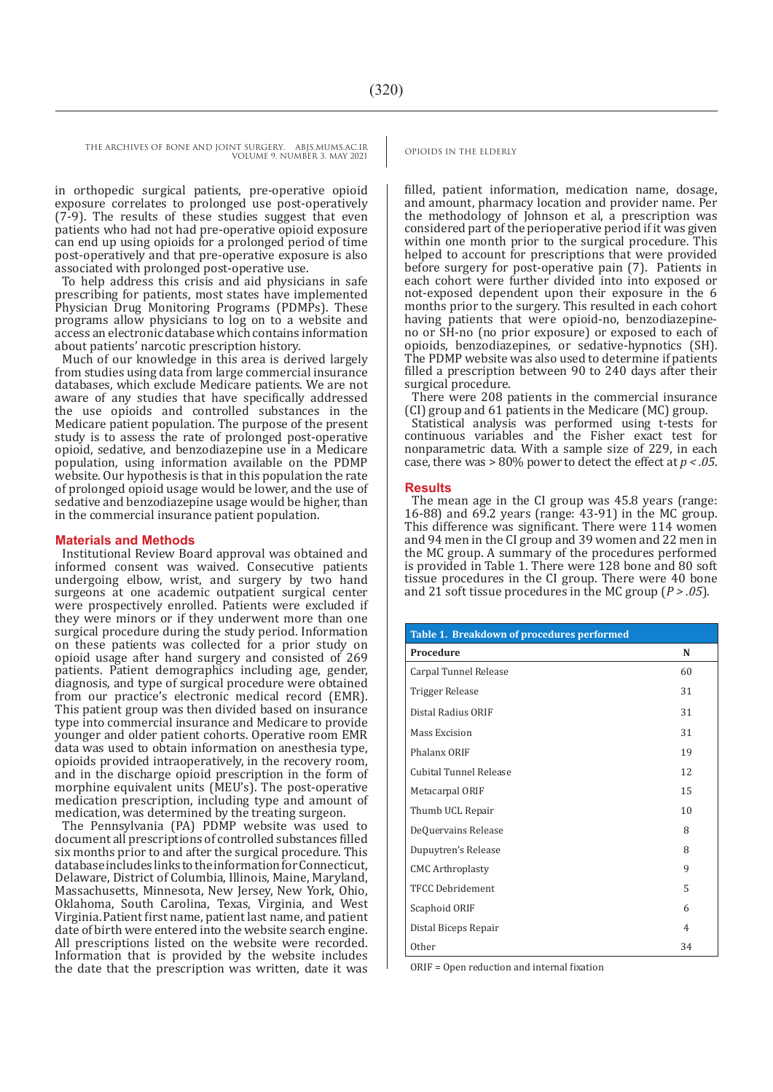THE ARCHIVES OF BONE AND JOINT SURGERY. ABJS.MUMS.AC.IR OPIOIDS IN THE ELDERLY

VOLUME 9. NUMBER 3. MAY 2021

in orthopedic surgical patients, pre-operative opioid exposure correlates to prolonged use post-operatively (7-9). The results of these studies suggest that even patients who had not had pre-operative opioid exposure can end up using opioids for a prolonged period of time post-operatively and that pre-operative exposure is also associated with prolonged post-operative use.

To help address this crisis and aid physicians in safe prescribing for patients, most states have implemented Physician Drug Monitoring Programs (PDMPs). These programs allow physicians to log on to a website and access an electronic database which contains information about patients' narcotic prescription history.

Much of our knowledge in this area is derived largely from studies using data from large commercial insurance databases, which exclude Medicare patients. We are not aware of any studies that have specifically addressed the use opioids and controlled substances in the Medicare patient population. The purpose of the present study is to assess the rate of prolonged post-operative opioid, sedative, and benzodiazepine use in a Medicare population, using information available on the PDMP website. Our hypothesis is that in this population the rate of prolonged opioid usage would be lower, and the use of sedative and benzodiazepine usage would be higher, than in the commercial insurance patient population.

### **Materials and Methods**

Institutional Review Board approval was obtained and informed consent was waived. Consecutive patients undergoing elbow, wrist, and surgery by two hand surgeons at one academic outpatient surgical center were prospectively enrolled. Patients were excluded if they were minors or if they underwent more than one surgical procedure during the study period. Information on these patients was collected for a prior study on opioid usage after hand surgery and consisted of 269 patients. Patient demographics including age, gender, diagnosis, and type of surgical procedure were obtained from our practice's electronic medical record (EMR). This patient group was then divided based on insurance type into commercial insurance and Medicare to provide younger and older patient cohorts. Operative room EMR data was used to obtain information on anesthesia type, opioids provided intraoperatively, in the recovery room, and in the discharge opioid prescription in the form of morphine equivalent units (MEU's). The post-operative medication prescription, including type and amount of medication, was determined by the treating surgeon.

The Pennsylvania (PA) PDMP website was used to document all prescriptions of controlled substances filled six months prior to and after the surgical procedure. This database includes links to the information for Connecticut, Delaware, District of Columbia, Illinois, Maine, Maryland, Massachusetts, Minnesota, New Jersey, New York, Ohio, Oklahoma, South Carolina, Texas, Virginia, and West Virginia.Patient first name, patient last name, and patient date of birth were entered into the website search engine. All prescriptions listed on the website were recorded. Information that is provided by the website includes the date that the prescription was written, date it was

filled, patient information, medication name, dosage, and amount, pharmacy location and provider name. Per the methodology of Johnson et al, a prescription was considered part of the perioperative period if it was given within one month prior to the surgical procedure. This helped to account for prescriptions that were provided before surgery for post-operative pain (7). Patients in each cohort were further divided into into exposed or not-exposed dependent upon their exposure in the 6 months prior to the surgery. This resulted in each cohort having patients that were opioid-no, benzodiazepineno or SH-no (no prior exposure) or exposed to each of opioids, benzodiazepines, or sedative-hypnotics (SH). The PDMP website was also used to determine if patients filled a prescription between 90 to 240 days after their surgical procedure.

There were 208 patients in the commercial insurance (CI) group and 61 patients in the Medicare (MC) group.

Statistical analysis was performed using t-tests for continuous variables and the Fisher exact test for nonparametric data. With a sample size of 229, in each case, there was > 80% power to detect the effect at *p < .05*.

### **Results**

The mean age in the CI group was 45.8 years (range: 16-88) and 69.2 years (range: 43-91) in the MC group. This difference was significant. There were 114 women and 94 men in the CI group and 39 women and 22 men in the MC group. A summary of the procedures performed is provided in Table 1. There were 128 bone and 80 soft tissue procedures in the CI group. There were 40 bone and 21 soft tissue procedures in the MC group (*P > .05*).

| Table 1. Breakdown of procedures performed |                |
|--------------------------------------------|----------------|
| Procedure                                  | N              |
| Carpal Tunnel Release                      | 60             |
| Trigger Release                            | 31             |
| Distal Radius ORIF                         | 31             |
| <b>Mass Excision</b>                       | 31             |
| Phalanx ORIF                               | 19             |
| <b>Cubital Tunnel Release</b>              | 12             |
| Metacarpal ORIF                            | 15             |
| Thumb UCL Repair                           | 10             |
| DeQuervains Release                        | 8              |
| Dupuytren's Release                        | 8              |
| <b>CMC</b> Arthroplasty                    | 9              |
| <b>TFCC Debridement</b>                    | 5              |
| Scaphoid ORIF                              | 6              |
| Distal Biceps Repair                       | $\overline{4}$ |
| <b>Other</b>                               | 34             |

ORIF = Open reduction and internal fixation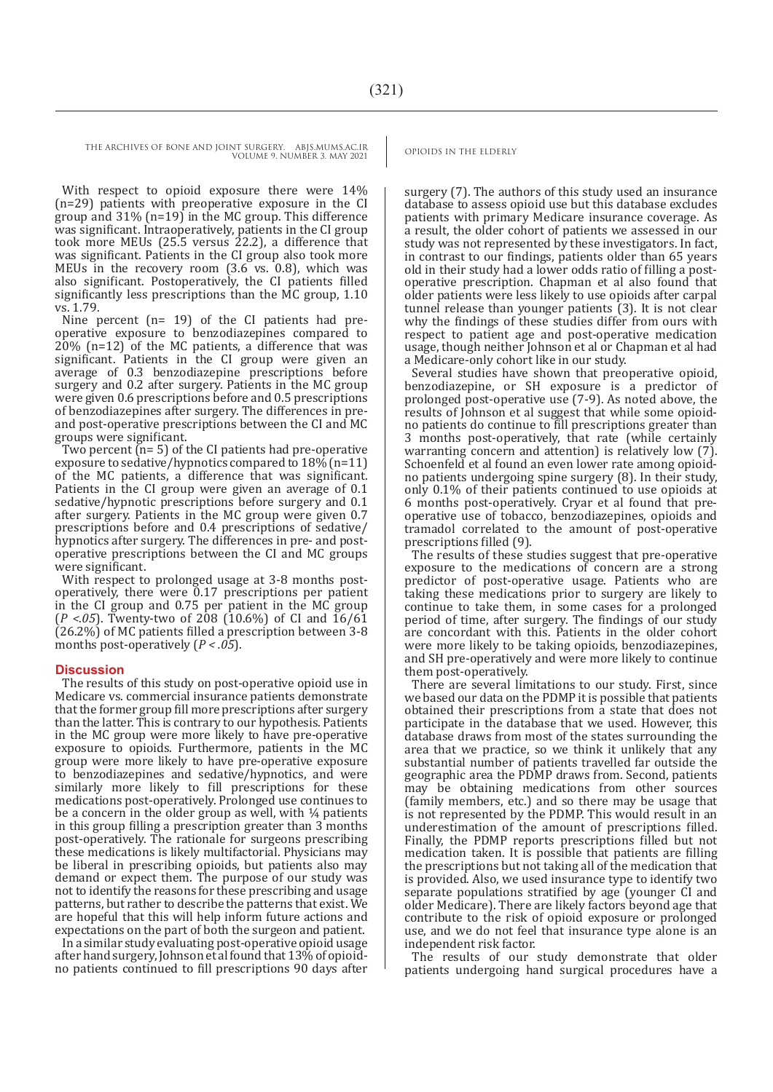THE ARCHIVES OF BONE AND JOINT SURGERY. ABJS.MUMS.AC.IR OPIOIDS IN THE ELDERLY VOLUME 9. NUMBER 3. MAY 2021

With respect to opioid exposure there were 14% (n=29) patients with preoperative exposure in the CI group and 31% (n=19) in the MC group. This difference was significant. Intraoperatively, patients in the CI group took more MEUs (25.5 versus 22.2), a difference that was significant. Patients in the CI group also took more MEUs in the recovery room (3.6 vs. 0.8), which was also significant. Postoperatively, the CI patients filled significantly less prescriptions than the MC group, 1.10 vs. 1.79.

Nine percent (n= 19) of the CI patients had preoperative exposure to benzodiazepines compared to  $20\%$  (n=12) of the MC patients, a difference that was significant. Patients in the CI group were given an average of 0.3 benzodiazepine prescriptions before surgery and 0.2 after surgery. Patients in the MC group were given 0.6 prescriptions before and 0.5 prescriptions of benzodiazepines after surgery. The differences in preand post-operative prescriptions between the CI and MC groups were significant.

Two percent  $(n=5)$  of the CI patients had pre-operative exposure to sedative/hypnotics compared to  $18\%$  (n=11) of the MC patients, a difference that was significant. Patients in the CI group were given an average of 0.1 sedative/hypnotic prescriptions before surgery and 0.1 after surgery. Patients in the MC group were given 0.7 prescriptions before and 0.4 prescriptions of sedative/ hypnotics after surgery. The differences in pre- and postoperative prescriptions between the CI and MC groups were significant.

With respect to prolonged usage at 3-8 months postoperatively, there were 0.17 prescriptions per patient in the CI group and 0.75 per patient in the MC group (*P <.05*). Twenty-two of 208 (10.6%) of CI and 16/61 (26.2%) of MC patients filled a prescription between 3-8 months post-operatively (*P < .05*).

### **Discussion**

The results of this study on post-operative opioid use in Medicare vs. commercial insurance patients demonstrate that the former group fill more prescriptions after surgery than the latter. This is contrary to our hypothesis. Patients in the MC group were more likely to have pre-operative exposure to opioids. Furthermore, patients in the MC group were more likely to have pre-operative exposure to benzodiazepines and sedative/hypnotics, and were similarly more likely to fill prescriptions for these medications post-operatively. Prolonged use continues to be a concern in the older group as well, with ¼ patients in this group filling a prescription greater than 3 months post-operatively. The rationale for surgeons prescribing these medications is likely multifactorial. Physicians may be liberal in prescribing opioids, but patients also may demand or expect them. The purpose of our study was not to identify the reasons for these prescribing and usage patterns, but rather to describe the patterns that exist. We are hopeful that this will help inform future actions and expectations on the part of both the surgeon and patient.

In a similar study evaluating post-operative opioid usage after hand surgery, Johnson et al found that 13% of opioidno patients continued to fill prescriptions 90 days after

surgery (7). The authors of this study used an insurance database to assess opioid use but this database excludes patients with primary Medicare insurance coverage. As a result, the older cohort of patients we assessed in our study was not represented by these investigators. In fact, in contrast to our findings, patients older than 65 years old in their study had a lower odds ratio of filling a postoperative prescription. Chapman et al also found that older patients were less likely to use opioids after carpal tunnel release than younger patients (3). It is not clear why the findings of these studies differ from ours with respect to patient age and post-operative medication usage, though neither Johnson et al or Chapman et al had a Medicare-only cohort like in our study.

Several studies have shown that preoperative opioid, benzodiazepine, or SH exposure is a predictor of prolonged post-operative use (7-9). As noted above, the results of Johnson et al suggest that while some opioidno patients do continue to fill prescriptions greater than 3 months post-operatively, that rate (while certainly warranting concern and attention) is relatively low (7). Schoenfeld et al found an even lower rate among opioidno patients undergoing spine surgery (8). In their study, only 0.1% of their patients continued to use opioids at 6 months post-operatively. Cryar et al found that preoperative use of tobacco, benzodiazepines, opioids and tramadol correlated to the amount of post-operative prescriptions filled (9).

The results of these studies suggest that pre-operative exposure to the medications of concern are a strong predictor of post-operative usage. Patients who are taking these medications prior to surgery are likely to continue to take them, in some cases for a prolonged period of time, after surgery. The findings of our study are concordant with this. Patients in the older cohort were more likely to be taking opioids, benzodiazepines, and SH pre-operatively and were more likely to continue them post-operatively.

There are several limitations to our study. First, since we based our data on the PDMP it is possible that patients obtained their prescriptions from a state that does not participate in the database that we used. However, this database draws from most of the states surrounding the area that we practice, so we think it unlikely that any substantial number of patients travelled far outside the geographic area the PDMP draws from. Second, patients may be obtaining medications from other sources (family members, etc.) and so there may be usage that is not represented by the PDMP. This would result in an underestimation of the amount of prescriptions filled. Finally, the PDMP reports prescriptions filled but not medication taken. It is possible that patients are filling the prescriptions but not taking all of the medication that is provided. Also, we used insurance type to identify two separate populations stratified by age (younger CI and older Medicare). There are likely factors beyond age that contribute to the risk of opioid exposure or prolonged use, and we do not feel that insurance type alone is an independent risk factor.

The results of our study demonstrate that older patients undergoing hand surgical procedures have a